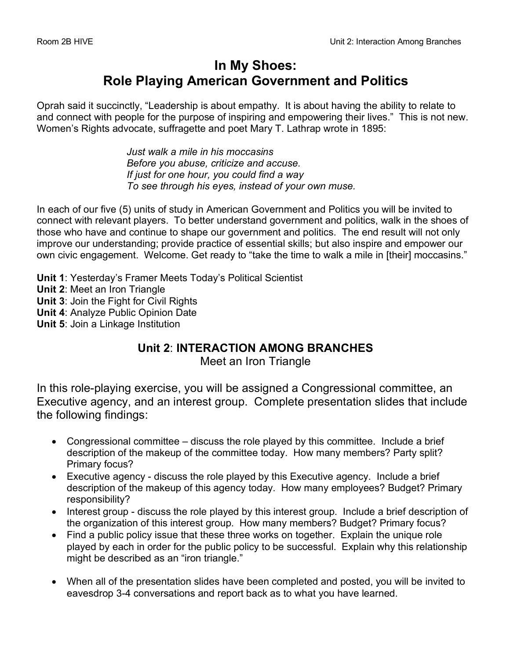## **In My Shoes: Role Playing American Government and Politics**

Oprah said it succinctly, "Leadership is about empathy. It is about having the ability to relate to and connect with people for the purpose of inspiring and empowering their lives." This is not new. Women's Rights advocate, suffragette and poet Mary T. Lathrap wrote in 1895:

> *Just walk a mile in his moccasins Before you abuse, criticize and accuse. If just for one hour, you could find a way To see through his eyes, instead of your own muse.*

In each of our five (5) units of study in American Government and Politics you will be invited to connect with relevant players. To better understand government and politics, walk in the shoes of those who have and continue to shape our government and politics. The end result will not only improve our understanding; provide practice of essential skills; but also inspire and empower our own civic engagement. Welcome. Get ready to "take the time to walk a mile in [their] moccasins."

**Unit 1**: Yesterday's Framer Meets Today's Political Scientist

**Unit 2**: Meet an Iron Triangle

**Unit 3**: Join the Fight for Civil Rights

**Unit 4**: Analyze Public Opinion Date

**Unit 5**: Join a Linkage Institution

## **Unit 2**: **INTERACTION AMONG BRANCHES**

Meet an Iron Triangle

In this role-playing exercise, you will be assigned a Congressional committee, an Executive agency, and an interest group. Complete presentation slides that include the following findings:

- Congressional committee discuss the role played by this committee. Include a brief description of the makeup of the committee today. How many members? Party split? Primary focus?
- Executive agency discuss the role played by this Executive agency. Include a brief description of the makeup of this agency today. How many employees? Budget? Primary responsibility?
- Interest group discuss the role played by this interest group. Include a brief description of the organization of this interest group. How many members? Budget? Primary focus?
- Find a public policy issue that these three works on together. Explain the unique role played by each in order for the public policy to be successful. Explain why this relationship might be described as an "iron triangle."
- When all of the presentation slides have been completed and posted, you will be invited to eavesdrop 3-4 conversations and report back as to what you have learned.